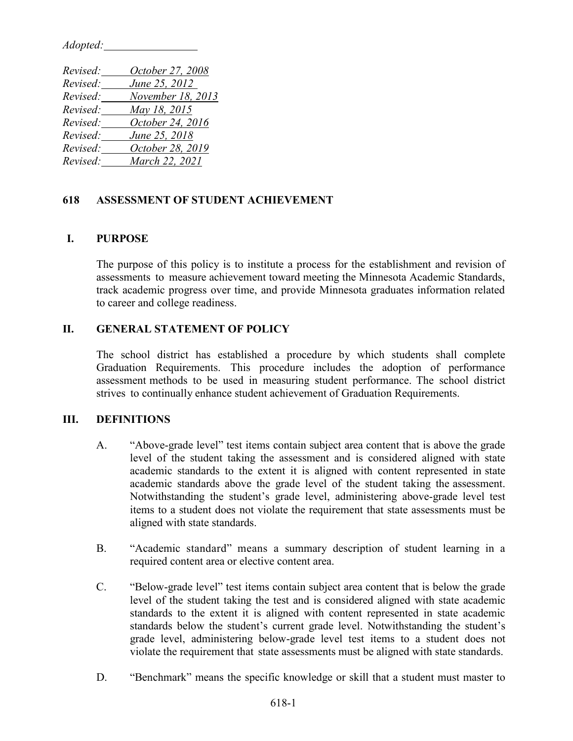*Adopted:*

| Revised: | October 27, 2008  |
|----------|-------------------|
| Revised: | June 25, 2012     |
| Revised: | November 18, 2013 |
| Revised: | May 18, 2015      |
| Revised: | October 24, 2016  |
| Revised: | June 25, 2018     |
| Revised: | October 28, 2019  |
| Revised: | March 22, 2021    |

#### **618 ASSESSMENT OF STUDENT ACHIEVEMENT**

#### **I. PURPOSE**

The purpose of this policy is to institute a process for the establishment and revision of assessments to measure achievement toward meeting the Minnesota Academic Standards, track academic progress over time, and provide Minnesota graduates information related to career and college readiness.

## **II. GENERAL STATEMENT OF POLICY**

The school district has established a procedure by which students shall complete Graduation Requirements. This procedure includes the adoption of performance assessment methods to be used in measuring student performance. The school district strives to continually enhance student achievement of Graduation Requirements.

#### **III. DEFINITIONS**

- A. "Above-grade level" test items contain subject area content that is above the grade level of the student taking the assessment and is considered aligned with state academic standards to the extent it is aligned with content represented in state academic standards above the grade level of the student taking the assessment. Notwithstanding the student's grade level, administering above-grade level test items to a student does not violate the requirement that state assessments must be aligned with state standards.
- B. "Academic standard" means a summary description of student learning in a required content area or elective content area.
- C. "Below-grade level" test items contain subject area content that is below the grade level of the student taking the test and is considered aligned with state academic standards to the extent it is aligned with content represented in state academic standards below the student's current grade level. Notwithstanding the student's grade level, administering below-grade level test items to a student does not violate the requirement that state assessments must be aligned with state standards.
- D. "Benchmark" means the specific knowledge or skill that a student must master to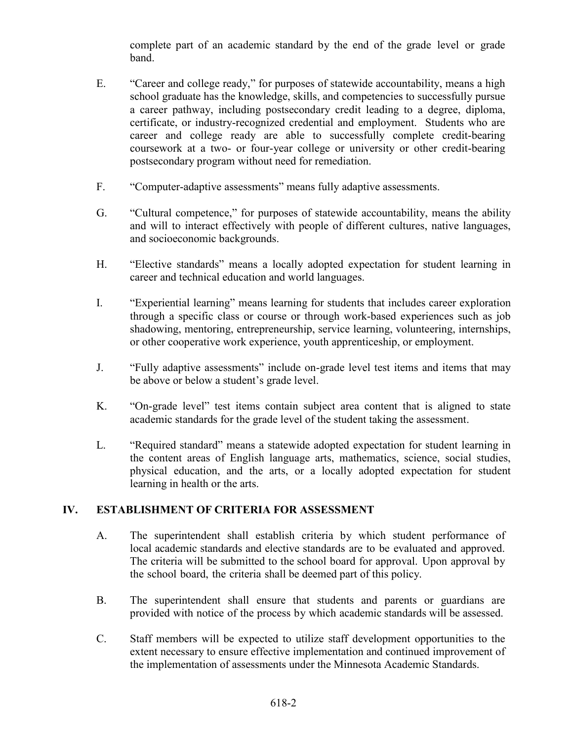complete part of an academic standard by the end of the grade level or grade band.

- E. "Career and college ready," for purposes of statewide accountability, means a high school graduate has the knowledge, skills, and competencies to successfully pursue a career pathway, including postsecondary credit leading to a degree, diploma, certificate, or industry-recognized credential and employment. Students who are career and college ready are able to successfully complete credit-bearing coursework at a two- or four-year college or university or other credit-bearing postsecondary program without need for remediation.
- F. "Computer-adaptive assessments" means fully adaptive assessments.
- G. "Cultural competence," for purposes of statewide accountability, means the ability and will to interact effectively with people of different cultures, native languages, and socioeconomic backgrounds.
- H. "Elective standards" means a locally adopted expectation for student learning in career and technical education and world languages.
- I. "Experiential learning" means learning for students that includes career exploration through a specific class or course or through work-based experiences such as job shadowing, mentoring, entrepreneurship, service learning, volunteering, internships, or other cooperative work experience, youth apprenticeship, or employment.
- J. "Fully adaptive assessments" include on-grade level test items and items that may be above or below a student's grade level.
- K. "On-grade level" test items contain subject area content that is aligned to state academic standards for the grade level of the student taking the assessment.
- L. "Required standard" means a statewide adopted expectation for student learning in the content areas of English language arts, mathematics, science, social studies, physical education, and the arts, or a locally adopted expectation for student learning in health or the arts.

# **IV. ESTABLISHMENT OF CRITERIA FOR ASSESSMENT**

- A. The superintendent shall establish criteria by which student performance of local academic standards and elective standards are to be evaluated and approved. The criteria will be submitted to the school board for approval. Upon approval by the school board, the criteria shall be deemed part of this policy.
- B. The superintendent shall ensure that students and parents or guardians are provided with notice of the process by which academic standards will be assessed.
- C. Staff members will be expected to utilize staff development opportunities to the extent necessary to ensure effective implementation and continued improvement of the implementation of assessments under the Minnesota Academic Standards.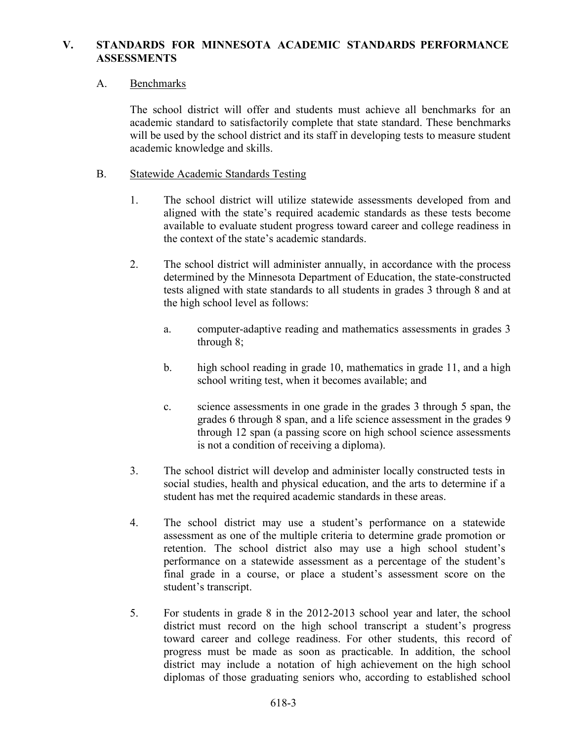## **V. STANDARDS FOR MINNESOTA ACADEMIC STANDARDS PERFORMANCE ASSESSMENTS**

## A. Benchmarks

The school district will offer and students must achieve all benchmarks for an academic standard to satisfactorily complete that state standard. These benchmarks will be used by the school district and its staff in developing tests to measure student academic knowledge and skills.

### B. Statewide Academic Standards Testing

- 1. The school district will utilize statewide assessments developed from and aligned with the state's required academic standards as these tests become available to evaluate student progress toward career and college readiness in the context of the state's academic standards.
- 2. The school district will administer annually, in accordance with the process determined by the Minnesota Department of Education, the state-constructed tests aligned with state standards to all students in grades 3 through 8 and at the high school level as follows:
	- a. computer-adaptive reading and mathematics assessments in grades 3 through 8;
	- b. high school reading in grade 10, mathematics in grade 11, and a high school writing test, when it becomes available; and
	- c. science assessments in one grade in the grades 3 through 5 span, the grades 6 through 8 span, and a life science assessment in the grades 9 through 12 span (a passing score on high school science assessments is not a condition of receiving a diploma).
- 3. The school district will develop and administer locally constructed tests in social studies, health and physical education, and the arts to determine if a student has met the required academic standards in these areas.
- 4. The school district may use a student's performance on a statewide assessment as one of the multiple criteria to determine grade promotion or retention. The school district also may use a high school student's performance on a statewide assessment as a percentage of the student's final grade in a course, or place a student's assessment score on the student's transcript.
- 5. For students in grade 8 in the 2012-2013 school year and later, the school district must record on the high school transcript a student's progress toward career and college readiness. For other students, this record of progress must be made as soon as practicable. In addition, the school district may include a notation of high achievement on the high school diplomas of those graduating seniors who, according to established school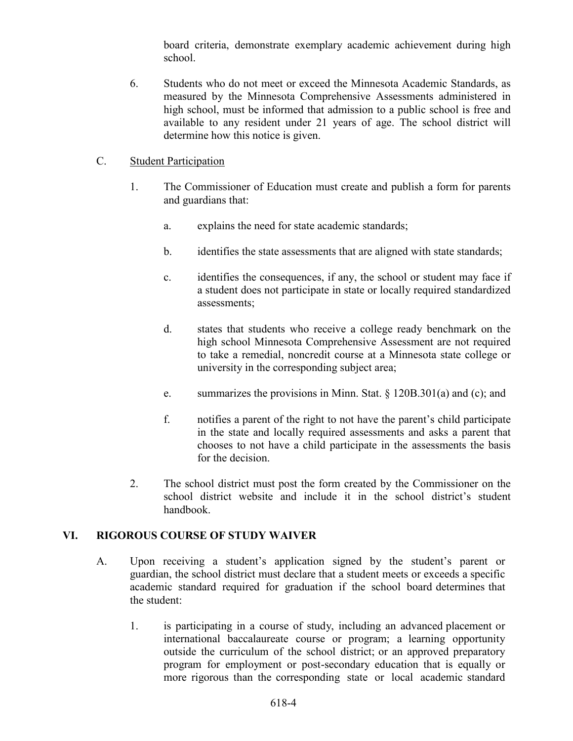board criteria, demonstrate exemplary academic achievement during high school.

6. Students who do not meet or exceed the Minnesota Academic Standards, as measured by the Minnesota Comprehensive Assessments administered in high school, must be informed that admission to a public school is free and available to any resident under 21 years of age. The school district will determine how this notice is given.

## C. Student Participation

- 1. The Commissioner of Education must create and publish a form for parents and guardians that:
	- a. explains the need for state academic standards;
	- b. identifies the state assessments that are aligned with state standards;
	- c. identifies the consequences, if any, the school or student may face if a student does not participate in state or locally required standardized assessments;
	- d. states that students who receive a college ready benchmark on the high school Minnesota Comprehensive Assessment are not required to take a remedial, noncredit course at a Minnesota state college or university in the corresponding subject area;
	- e. summarizes the provisions in Minn. Stat. § 120B.301(a) and (c); and
	- f. notifies a parent of the right to not have the parent's child participate in the state and locally required assessments and asks a parent that chooses to not have a child participate in the assessments the basis for the decision.
- 2. The school district must post the form created by the Commissioner on the school district website and include it in the school district's student handbook.

# **VI. RIGOROUS COURSE OF STUDY WAIVER**

- A. Upon receiving a student's application signed by the student's parent or guardian, the school district must declare that a student meets or exceeds a specific academic standard required for graduation if the school board determines that the student:
	- 1. is participating in a course of study, including an advanced placement or international baccalaureate course or program; a learning opportunity outside the curriculum of the school district; or an approved preparatory program for employment or post-secondary education that is equally or more rigorous than the corresponding state or local academic standard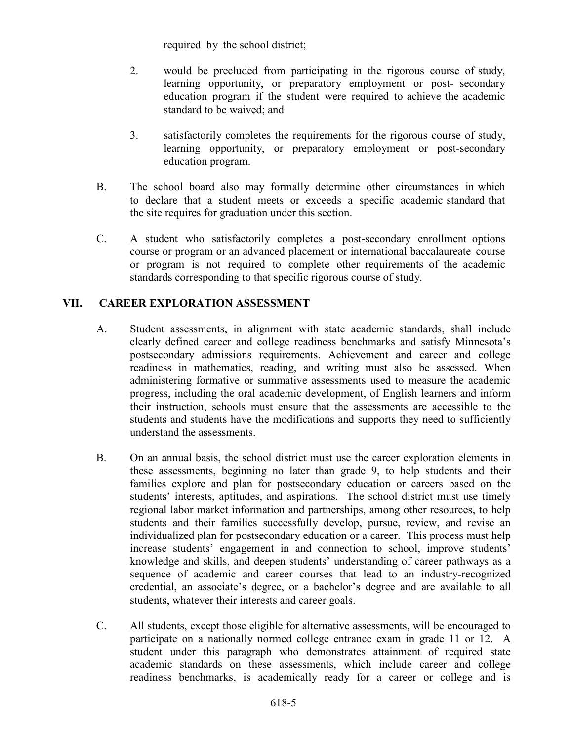required by the school district;

- 2. would be precluded from participating in the rigorous course of study, learning opportunity, or preparatory employment or post- secondary education program if the student were required to achieve the academic standard to be waived; and
- 3. satisfactorily completes the requirements for the rigorous course of study, learning opportunity, or preparatory employment or post-secondary education program.
- B. The school board also may formally determine other circumstances in which to declare that a student meets or exceeds a specific academic standard that the site requires for graduation under this section.
- C. A student who satisfactorily completes a post-secondary enrollment options course or program or an advanced placement or international baccalaureate course or program is not required to complete other requirements of the academic standards corresponding to that specific rigorous course of study.

# **VII. CAREER EXPLORATION ASSESSMENT**

- A. Student assessments, in alignment with state academic standards, shall include clearly defined career and college readiness benchmarks and satisfy Minnesota's postsecondary admissions requirements. Achievement and career and college readiness in mathematics, reading, and writing must also be assessed. When administering formative or summative assessments used to measure the academic progress, including the oral academic development, of English learners and inform their instruction, schools must ensure that the assessments are accessible to the students and students have the modifications and supports they need to sufficiently understand the assessments.
- B. On an annual basis, the school district must use the career exploration elements in these assessments, beginning no later than grade 9, to help students and their families explore and plan for postsecondary education or careers based on the students' interests, aptitudes, and aspirations. The school district must use timely regional labor market information and partnerships, among other resources, to help students and their families successfully develop, pursue, review, and revise an individualized plan for postsecondary education or a career. This process must help increase students' engagement in and connection to school, improve students' knowledge and skills, and deepen students' understanding of career pathways as a sequence of academic and career courses that lead to an industry-recognized credential, an associate's degree, or a bachelor's degree and are available to all students, whatever their interests and career goals.
- C. All students, except those eligible for alternative assessments, will be encouraged to participate on a nationally normed college entrance exam in grade 11 or 12. A student under this paragraph who demonstrates attainment of required state academic standards on these assessments, which include career and college readiness benchmarks, is academically ready for a career or college and is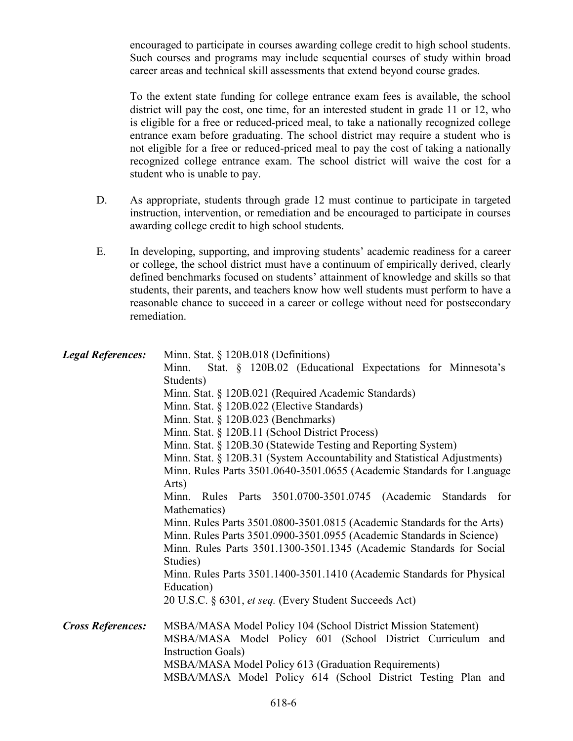encouraged to participate in courses awarding college credit to high school students. Such courses and programs may include sequential courses of study within broad career areas and technical skill assessments that extend beyond course grades.

To the extent state funding for college entrance exam fees is available, the school district will pay the cost, one time, for an interested student in grade 11 or 12, who is eligible for a free or reduced-priced meal, to take a nationally recognized college entrance exam before graduating. The school district may require a student who is not eligible for a free or reduced-priced meal to pay the cost of taking a nationally recognized college entrance exam. The school district will waive the cost for a student who is unable to pay.

- D. As appropriate, students through grade 12 must continue to participate in targeted instruction, intervention, or remediation and be encouraged to participate in courses awarding college credit to high school students.
- E. In developing, supporting, and improving students' academic readiness for a career or college, the school district must have a continuum of empirically derived, clearly defined benchmarks focused on students' attainment of knowledge and skills so that students, their parents, and teachers know how well students must perform to have a reasonable chance to succeed in a career or college without need for postsecondary remediation.

| <b>Legal References:</b> | Minn. Stat. § 120B.018 (Definitions)<br>Stat. § 120B.02 (Educational Expectations for Minnesota's<br>Minn.<br>Students)<br>Minn. Stat. § 120B.021 (Required Academic Standards)<br>Minn. Stat. § 120B.022 (Elective Standards)<br>Minn. Stat. § 120B.023 (Benchmarks)<br>Minn. Stat. § 120B.11 (School District Process)<br>Minn. Stat. § 120B.30 (Statewide Testing and Reporting System)<br>Minn. Stat. § 120B.31 (System Accountability and Statistical Adjustments)<br>Minn. Rules Parts 3501.0640-3501.0655 (Academic Standards for Language<br>Arts)<br>Minn. Rules Parts 3501.0700-3501.0745 (Academic Standards for<br>Mathematics)<br>Minn. Rules Parts 3501.0800-3501.0815 (Academic Standards for the Arts)<br>Minn. Rules Parts 3501.0900-3501.0955 (Academic Standards in Science)<br>Minn. Rules Parts 3501.1300-3501.1345 (Academic Standards for Social<br>Studies)<br>Minn. Rules Parts 3501.1400-3501.1410 (Academic Standards for Physical<br>Education)<br>20 U.S.C. § 6301, et seq. (Every Student Succeeds Act) |
|--------------------------|---------------------------------------------------------------------------------------------------------------------------------------------------------------------------------------------------------------------------------------------------------------------------------------------------------------------------------------------------------------------------------------------------------------------------------------------------------------------------------------------------------------------------------------------------------------------------------------------------------------------------------------------------------------------------------------------------------------------------------------------------------------------------------------------------------------------------------------------------------------------------------------------------------------------------------------------------------------------------------------------------------------------------------------|
| <b>Cross References:</b> | MSBA/MASA Model Policy 104 (School District Mission Statement)<br>MSBA/MASA Model Policy 601 (School District Curriculum and<br><b>Instruction Goals</b> )<br>MSBA/MASA Model Policy 613 (Graduation Requirements)<br>MSBA/MASA Model Policy 614 (School District Testing Plan and                                                                                                                                                                                                                                                                                                                                                                                                                                                                                                                                                                                                                                                                                                                                                    |